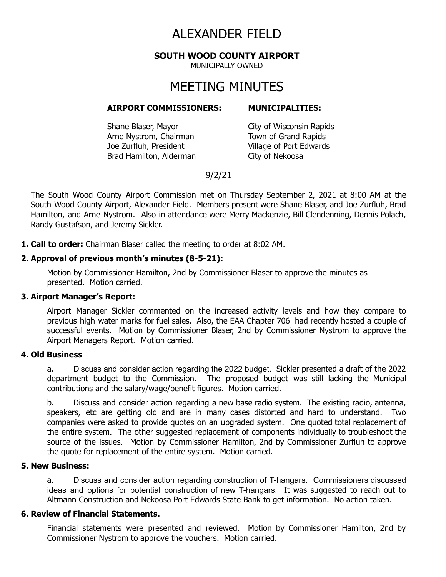# ALEXANDER FIELD

**SOUTH WOOD COUNTY AIRPORT**

MUNICIPALLY OWNED

# MEETING MINUTES

#### **AIRPORT COMMISSIONERS: MUNICIPALITIES:**

Shane Blaser, Mayor City of Wisconsin Rapids Arne Nystrom, Chairman Town of Grand Rapids Joe Zurfluh, President Village of Port Edwards Brad Hamilton, Alderman City of Nekoosa

# 9/2/21

The South Wood County Airport Commission met on Thursday September 2, 2021 at 8:00 AM at the South Wood County Airport, Alexander Field. Members present were Shane Blaser, and Joe Zurfluh, Brad Hamilton, and Arne Nystrom. Also in attendance were Merry Mackenzie, Bill Clendenning, Dennis Polach, Randy Gustafson, and Jeremy Sickler.

**1. Call to order:** Chairman Blaser called the meeting to order at 8:02 AM.

#### **2. Approval of previous month's minutes (8-5-21):**

Motion by Commissioner Hamilton, 2nd by Commissioner Blaser to approve the minutes as presented. Motion carried.

#### **3. Airport Manager's Report:**

Airport Manager Sickler commented on the increased activity levels and how they compare to previous high water marks for fuel sales. Also, the EAA Chapter 706 had recently hosted a couple of successful events. Motion by Commissioner Blaser, 2nd by Commissioner Nystrom to approve the Airport Managers Report. Motion carried.

#### **4. Old Business**

a. Discuss and consider action regarding the 2022 budget. Sickler presented a draft of the 2022 department budget to the Commission. The proposed budget was still lacking the Municipal contributions and the salary/wage/benefit figures. Motion carried.

b. Discuss and consider action regarding a new base radio system. The existing radio, antenna, speakers, etc are getting old and are in many cases distorted and hard to understand. Two companies were asked to provide quotes on an upgraded system. One quoted total replacement of the entire system. The other suggested replacement of components individually to troubleshoot the source of the issues. Motion by Commissioner Hamilton, 2nd by Commissioner Zurfluh to approve the quote for replacement of the entire system. Motion carried.

### **5. New Business:**

a. Discuss and consider action regarding construction of T-hangars. Commissioners discussed ideas and options for potential construction of new T-hangars. It was suggested to reach out to Altmann Construction and Nekoosa Port Edwards State Bank to get information. No action taken.

#### **6. Review of Financial Statements.**

Financial statements were presented and reviewed. Motion by Commissioner Hamilton, 2nd by Commissioner Nystrom to approve the vouchers. Motion carried.